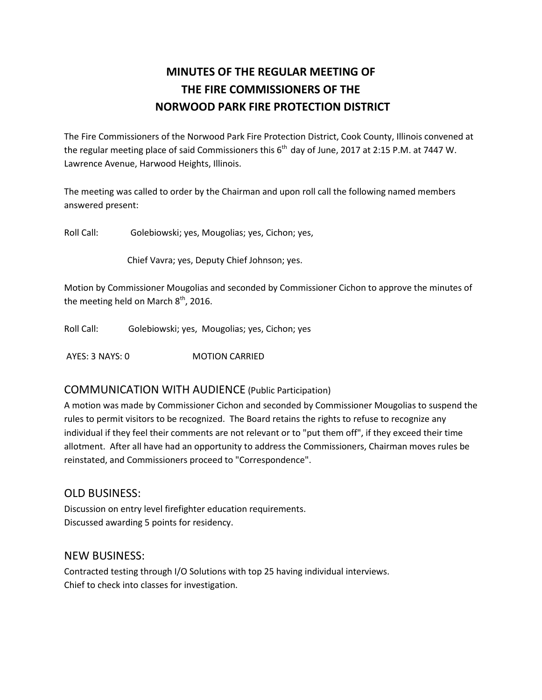# **MINUTES OF THE REGULAR MEETING OF THE FIRE COMMISSIONERS OF THE NORWOOD PARK FIRE PROTECTION DISTRICT**

The Fire Commissioners of the Norwood Park Fire Protection District, Cook County, Illinois convened at the regular meeting place of said Commissioners this  $6<sup>th</sup>$  day of June, 2017 at 2:15 P.M. at 7447 W. Lawrence Avenue, Harwood Heights, Illinois.

The meeting was called to order by the Chairman and upon roll call the following named members answered present:

Roll Call: Golebiowski; yes, Mougolias; yes, Cichon; yes,

Chief Vavra; yes, Deputy Chief Johnson; yes.

Motion by Commissioner Mougolias and seconded by Commissioner Cichon to approve the minutes of the meeting held on March  $8<sup>th</sup>$ , 2016.

Roll Call: Golebiowski; yes, Mougolias; yes, Cichon; yes

AYES: 3 NAYS: 0 **MOTION CARRIED** 

### COMMUNICATION WITH AUDIENCE (Public Participation)

A motion was made by Commissioner Cichon and seconded by Commissioner Mougolias to suspend the rules to permit visitors to be recognized. The Board retains the rights to refuse to recognize any individual if they feel their comments are not relevant or to "put them off", if they exceed their time allotment. After all have had an opportunity to address the Commissioners, Chairman moves rules be reinstated, and Commissioners proceed to "Correspondence".

### OLD BUSINESS:

Discussion on entry level firefighter education requirements. Discussed awarding 5 points for residency.

### NEW BUSINESS:

Contracted testing through I/O Solutions with top 25 having individual interviews. Chief to check into classes for investigation.